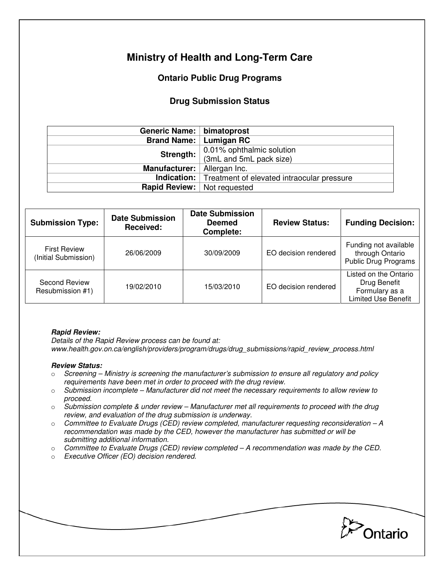# **Ministry of Health and Long-Term Care**

## **Ontario Public Drug Programs**

## **Drug Submission Status**

| Generic Name:   bimatoprost          |                                                               |  |  |
|--------------------------------------|---------------------------------------------------------------|--|--|
| Brand Name:   Lumigan RC             |                                                               |  |  |
| Strength:                            | 0.01% ophthalmic solution<br>(3mL and 5mL pack size)          |  |  |
|                                      |                                                               |  |  |
| Manufacturer:   Allergan Inc.        |                                                               |  |  |
|                                      | <b>Indication:</b> Treatment of elevated intraocular pressure |  |  |
| <b>Rapid Review:</b>   Not requested |                                                               |  |  |

| <b>Submission Type:</b>                     | <b>Date Submission</b><br>Received: | <b>Date Submission</b><br><b>Deemed</b><br>Complete: | <b>Review Status:</b> | <b>Funding Decision:</b>                                                              |
|---------------------------------------------|-------------------------------------|------------------------------------------------------|-----------------------|---------------------------------------------------------------------------------------|
| <b>First Review</b><br>(Initial Submission) | 26/06/2009                          | 30/09/2009                                           | EO decision rendered  | Funding not available<br>through Ontario<br><b>Public Drug Programs</b>               |
| Second Review<br>Resubmission #1)           | 19/02/2010                          | 15/03/2010                                           | EO decision rendered  | Listed on the Ontario<br>Drug Benefit<br>Formulary as a<br><b>Limited Use Benefit</b> |

#### **Rapid Review:**

Details of the Rapid Review process can be found at: www.health.gov.on.ca/english/providers/program/drugs/drug\_submissions/rapid\_review\_process.html

#### **Review Status:**

- $\circ$  Screening Ministry is screening the manufacturer's submission to ensure all regulatory and policy requirements have been met in order to proceed with the drug review.
- $\circ$  Submission incomplete Manufacturer did not meet the necessary requirements to allow review to proceed.
- $\circ$  Submission complete & under review Manufacturer met all requirements to proceed with the drug review, and evaluation of the drug submission is underway.
- $\circ$  Committee to Evaluate Drugs (CED) review completed, manufacturer requesting reconsideration A recommendation was made by the CED, however the manufacturer has submitted or will be submitting additional information.
- $\circ$  Committee to Evaluate Drugs (CED) review completed A recommendation was made by the CED.
- o Executive Officer (EO) decision rendered.